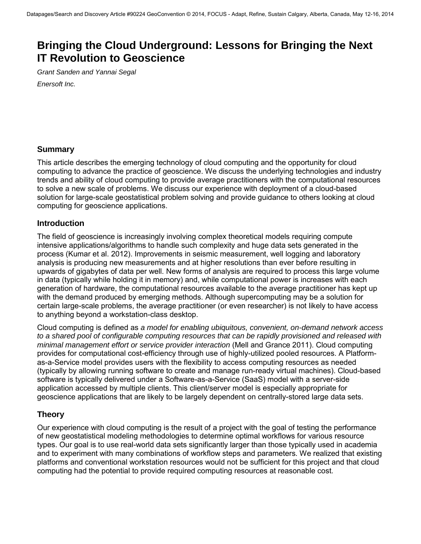# **Bringing the Cloud Underground: Lessons for Bringing the Next IT Revolution to Geoscience**

*Grant Sanden and Yannai Segal Enersoft Inc.* 

## **Summary**

This article describes the emerging technology of cloud computing and the opportunity for cloud computing to advance the practice of geoscience. We discuss the underlying technologies and industry trends and ability of cloud computing to provide average practitioners with the computational resources to solve a new scale of problems. We discuss our experience with deployment of a cloud-based solution for large-scale geostatistical problem solving and provide guidance to others looking at cloud computing for geoscience applications.

#### **Introduction**

The field of geoscience is increasingly involving complex theoretical models requiring compute intensive applications/algorithms to handle such complexity and huge data sets generated in the process (Kumar et al. 2012). Improvements in seismic measurement, well logging and laboratory analysis is producing new measurements and at higher resolutions than ever before resulting in upwards of gigabytes of data per well. New forms of analysis are required to process this large volume in data (typically while holding it in memory) and, while computational power is increases with each generation of hardware, the computational resources available to the average practitioner has kept up with the demand produced by emerging methods. Although supercomputing may be a solution for certain large-scale problems, the average practitioner (or even researcher) is not likely to have access to anything beyond a workstation-class desktop.

Cloud computing is defined as *a model for enabling ubiquitous, convenient, on-demand network access to a shared pool of configurable computing resources that can be rapidly provisioned and released with minimal management effort or service provider interaction* (Mell and Grance 2011). Cloud computing provides for computational cost-efficiency through use of highly-utilized pooled resources. A Platformas-a-Service model provides users with the flexibility to access computing resources as needed (typically by allowing running software to create and manage run-ready virtual machines). Cloud-based software is typically delivered under a Software-as-a-Service (SaaS) model with a server-side application accessed by multiple clients. This client/server model is especially appropriate for geoscience applications that are likely to be largely dependent on centrally-stored large data sets.

## **Theory**

Our experience with cloud computing is the result of a project with the goal of testing the performance of new geostatistical modeling methodologies to determine optimal workflows for various resource types. Our goal is to use real-world data sets significantly larger than those typically used in academia and to experiment with many combinations of workflow steps and parameters. We realized that existing platforms and conventional workstation resources would not be sufficient for this project and that cloud computing had the potential to provide required computing resources at reasonable cost.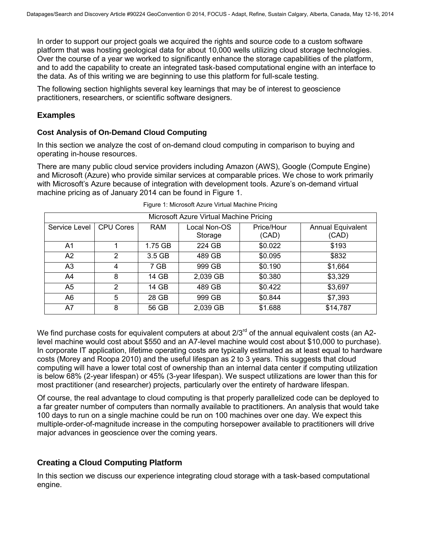In order to support our project goals we acquired the rights and source code to a custom software platform that was hosting geological data for about 10,000 wells utilizing cloud storage technologies. Over the course of a year we worked to significantly enhance the storage capabilities of the platform, and to add the capability to create an integrated task-based computational engine with an interface to the data. As of this writing we are beginning to use this platform for full-scale testing.

The following section highlights several key learnings that may be of interest to geoscience practitioners, researchers, or scientific software designers.

### **Examples**

#### **Cost Analysis of On-Demand Cloud Computing**

In this section we analyze the cost of on-demand cloud computing in comparison to buying and operating in-house resources.

There are many public cloud service providers including Amazon (AWS), Google (Compute Engine) and Microsoft (Azure) who provide similar services at comparable prices. We chose to work primarily with Microsoft's Azure because of integration with development tools. Azure's on-demand virtual machine pricing as of January 2014 can be found in [Figure 1.](#page-1-0)

<span id="page-1-0"></span>

| Microsoft Azure Virtual Machine Pricing |                  |            |                         |                     |                                   |
|-----------------------------------------|------------------|------------|-------------------------|---------------------|-----------------------------------|
| Service Level                           | <b>CPU Cores</b> | <b>RAM</b> | Local Non-OS<br>Storage | Price/Hour<br>(CAD) | <b>Annual Equivalent</b><br>(CAD) |
| A <sub>1</sub>                          |                  | 1.75 GB    | 224 GB                  | \$0.022             | \$193                             |
| A2                                      | 2                | 3.5 GB     | 489 GB                  | \$0.095             | \$832                             |
| A3                                      | 4                | 7 GB       | 999 GB                  | \$0.190             | \$1,664                           |
| A4                                      | 8                | 14 GB      | 2,039 GB                | \$0.380             | \$3,329                           |
| A <sub>5</sub>                          | 2                | 14 GB      | 489 GB                  | \$0.422             | \$3,697                           |
| A6                                      | 5                | 28 GB      | 999 GB                  | \$0.844             | \$7,393                           |
| A7                                      | 8                | 56 GB      | 2,039 GB                | \$1.688             | \$14,787                          |

We find purchase costs for equivalent computers at about 2/3<sup>rd</sup> of the annual equivalent costs (an A2level machine would cost about \$550 and an A7-level machine would cost about \$10,000 to purchase). In corporate IT application, lifetime operating costs are typically estimated as at least equal to hardware costs (Morey and Roopa 2010) and the useful lifespan as 2 to 3 years. This suggests that cloud computing will have a lower total cost of ownership than an internal data center if computing utilization is below 68% (2-year lifespan) or 45% (3-year lifespan). We suspect utilizations are lower than this for most practitioner (and researcher) projects, particularly over the entirety of hardware lifespan.

Of course, the real advantage to cloud computing is that properly parallelized code can be deployed to a far greater number of computers than normally available to practitioners. An analysis that would take 100 days to run on a single machine could be run on 100 machines over one day. We expect this multiple-order-of-magnitude increase in the computing horsepower available to practitioners will drive major advances in geoscience over the coming years.

## **Creating a Cloud Computing Platform**

In this section we discuss our experience integrating cloud storage with a task-based computational engine.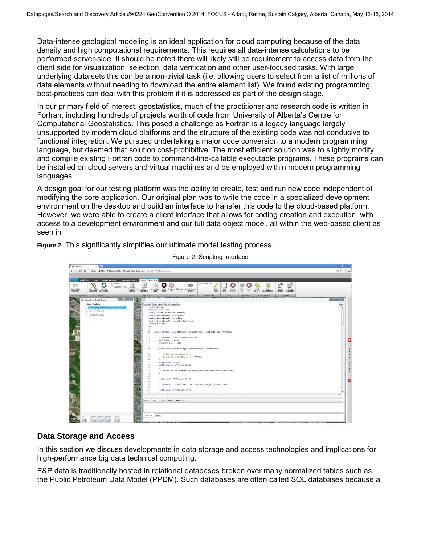Data-intense geological modeling is an ideal application for cloud computing because of the data density and high computational requirements. This requires all data-intense calculations to be performed server-side. It should be noted there will likely still be requirement to access data from the client side for visualization, selection, data verification and other user-focused tasks. With large underlying data sets this can be a non-trivial task (i.e. allowing users to select from a list of millions of data elements without needing to download the entire element list). We found existing programming best-practices can deal with this problem if it is addressed as part of the design stage.

In our primary field of interest, geostatistics, much of the practitioner and research code is written in Fortran, including hundreds of projects worth of code from University of Alberta's Centre for Computational Geostatistics. This posed a challenge as Fortran is a legacy language largely unsupported by modern cloud platforms and the structure of the existing code was not conducive to functional integration. We pursued undertaking a major code conversion to a modern programming language, but deemed that solution cost-prohibitive. The most efficient solution was to slightly modify and compile existing Fortran code to command-line-callable executable programs. These programs can be installed on cloud servers and virtual machines and be employed within modern programming languages.

A design goal for our testing platform was the ability to create, test and run new code independent of modifying the core application. Our original plan was to write the code in a specialized development environment on the desktop and build an interface to transfer this code to the cloud-based platform. However, we were able to create a client interface that allows for coding creation and execution, with access to a development environment and our full data object model, all within the web-based client as seen in

**[Figure 2](#page-2-0)**. This significantly simplifies our ultimate model testing process.



<span id="page-2-0"></span>Figure 2: Scripting Interface

## **Data Storage and Access**

In this section we discuss developments in data storage and access technologies and implications for high-performance big data technical computing.

E&P data is traditionally hosted in relational databases broken over many normalized tables such as the Public Petroleum Data Model (PPDM). Such databases are often called SQL databases because a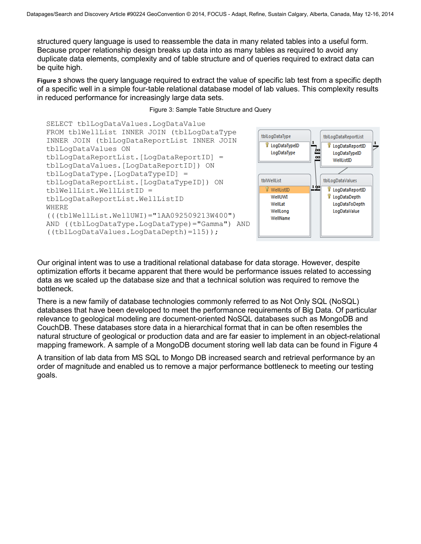structured query language is used to reassemble the data in many related tables into a useful form. Because proper relationship design breaks up data into as many tables as required to avoid any duplicate dat[a elements, complexity and of table structure and of queries required to extract data can](#page-3-0)  be quite high.

**[Figure 3](#page-3-0)** shows the query language required to extract the value of specific lab test from a specific depth of a specific well in a simple four-table relational database model of lab values. This complexity results in reduced performance for increasingly large data sets.

Figure 3: Sample Table Structure and Query

SELECT tblLogDataValues.LogDataValue FROM tblWellList INNER JOIN (tblLogDataType INNER JOIN (tblLogDataReportList INNER JOIN tblLogDataValues ON tblLogDataReportList.[LogDataReportID] = tblLogDataValues.[LogDataReportID]) ON tblLogDataType.[LogDataTypeID] = tblLogDataReportList.[LogDataTypeID]) ON tblWellList.WellListID = tblLogDataReportList.WellListID WHERE (((tblWellList.WellUWI)="1AA092509213W400") AND ((tblLogDataType.LogDataType)="Gamma") AND ((tblLogDataValues.LogDataDepth)=115));

<span id="page-3-0"></span>

Our original intent was to use a traditional relational database for data storage. However, despite optimization efforts it became apparent that there would be performance issues related to accessing data as we scaled up the database size and that a technical solution was required to remove the bottleneck.

There is a new family of database technologies commonly referred to as Not Only SQL (NoSQL) databases that have been developed to meet the performance requirements of Big Data. Of particular relevance to geological modeling are document-oriented NoSQL databases such as MongoDB and CouchDB. These databases store data in a hierarchical format that in can be often resembles the natural structure of geological or production data and are far easier to implement in an object-relational mapping framework. A sample of a MongoDB document storing well lab data can be found in [Figure 4](#page-4-0)

A transition of lab data from MS SQL to Mongo DB increased search and retrieval performance by an order of magnitude and enabled us to remove a major performance bottleneck to meeting our testing goals.